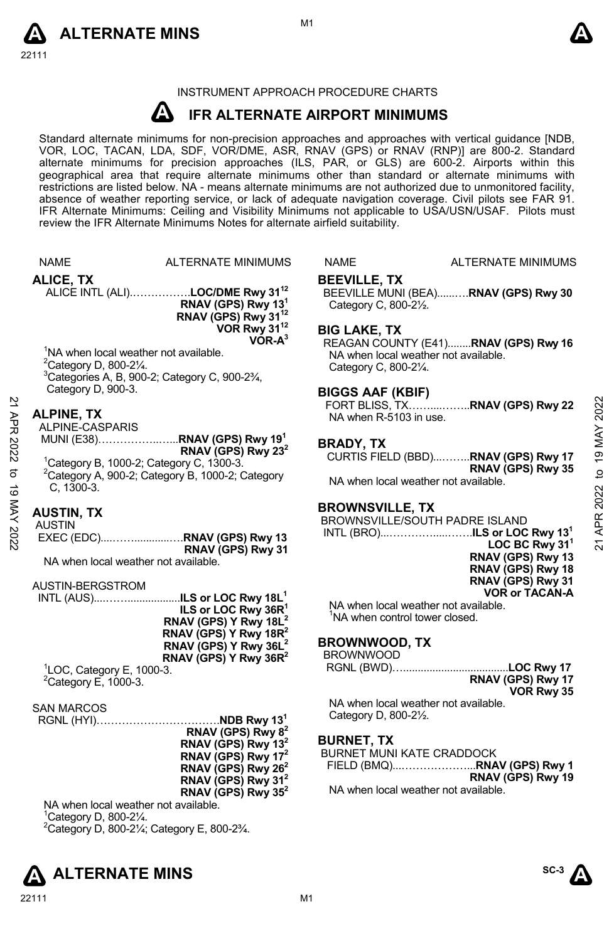



### INSTRUMENT APPROACH PROCEDURE CHARTS

#### **A IFR ALTERNATE AIRPORT MINIMUMS**

Standard alternate minimums for non-precision approaches and approaches with vertical guidance [NDB,<br>VOR, LOC, TACAN, LDA, SDF, VOR/DME, ASR, RNAV (GPS) or RNAV (RNP)] are 800-2. Standard<br>alternate minimums for precision a geographical area that require alternate minimums other than standard or alternate minimums with restrictions are listed below. NA - means alternate minimums are not authorized due to unmonitored facility, absence of weather reporting service, or lack of adequate navigation coverage. Civil pilots see FAR 91. IFR Alternate Minimums: Ceiling and Visibility Minimums not applicable to USA/USN/USAF. Pilots must review the IFR Alternate Minimums Notes for alternate airfield suitability.

|             | <b>NAME</b>                                                                             | ALTERNATE MINIMUMS                                                                                 | NAME                                         | <b>ALTERNATE MINIMUMS</b>                                                                        |                |
|-------------|-----------------------------------------------------------------------------------------|----------------------------------------------------------------------------------------------------|----------------------------------------------|--------------------------------------------------------------------------------------------------|----------------|
|             | ALICE, TX                                                                               | ALICE INTL (ALI)LOC/DME Rwy 31 <sup>12</sup>                                                       | <b>BEEVILLE, TX</b>                          | BEEVILLE MUNI (BEA)RNAV (GPS) Rwy 30                                                             |                |
|             |                                                                                         | RNAV (GPS) Rwy 13 <sup>1</sup><br>RNAV (GPS) Rwy 31 <sup>12</sup>                                  | Category C, 800-21/2.                        |                                                                                                  |                |
|             | <sup>1</sup> NA when local weather not available.<br><sup>2</sup> Category D, 800-21/4. | VOR Rwy 31 <sup>12</sup><br>$VOR-A3$<br><sup>3</sup> Categories A, B, 900-2; Category C, 900-23/4, | <b>BIG LAKE, TX</b><br>Category C, 800-21/4. | REAGAN COUNTY (E41)RNAV (GPS) Rwy 16<br>NA when local weather not available.                     |                |
|             | Category D, 900-3.                                                                      |                                                                                                    | <b>BIGGS AAF (KBIF)</b>                      |                                                                                                  |                |
|             | <b>ALPINE, TX</b><br>ALPINE-CASPARIS                                                    |                                                                                                    | NA when R-5103 in use.                       |                                                                                                  | 2022           |
| 21 APR 2022 |                                                                                         | MUNI (E38)RNAV (GPS) Rwy 19 <sup>1</sup><br>RNAV (GPS) Rwy $23^2$                                  | <b>BRADY, TX</b>                             |                                                                                                  | to 19 MAY      |
| ಕ           | <sup>1</sup> Category B, 1000-2; Category C, 1300-3.                                    | <sup>2</sup> Category A, 900-2; Category B, 1000-2; Category                                       |                                              | CURTIS FIELD (BBD)RNAV (GPS) Rwy 17<br>RNAV (GPS) Rwy 35<br>NA when local weather not available. |                |
| 19 MAY 2022 | $C. 1300-3.$                                                                            |                                                                                                    |                                              |                                                                                                  | 2022           |
|             | <b>AUSTIN, TX</b><br><b>AUSTIN</b>                                                      |                                                                                                    | <b>BROWNSVILLE, TX</b>                       | BROWNSVILLE/SOUTH PADRE ISLAND                                                                   | APR:           |
|             |                                                                                         | EXEC (EDC)RNAV (GPS) Rwy 13<br>RNAV (GPS) Rwy 31                                                   |                                              | LOC BC Rwy $311$                                                                                 | $\overline{2}$ |
|             | NA when local weather not available.                                                    |                                                                                                    |                                              | RNAV (GPS) Rwy 13<br>RNAV (GPS) Rwy 18                                                           |                |
|             | AUSTIN-BERGSTROM                                                                        |                                                                                                    |                                              | RNAV (GPS) Rwy 31<br><b>VOR or TACAN-A</b>                                                       |                |
|             |                                                                                         | INTL (AUS)ILS or LOC Rwy 18L <sup>1</sup><br>ILS or LOC Rwy 36R <sup>1</sup>                       |                                              | NA when local weather not available.<br><sup>1</sup> NA when control tower closed.               |                |
|             |                                                                                         | RNAV (GPS) Y Rwy 18L <sup>2</sup><br>RNAV (GPS) Y Rwy 18R <sup>2</sup>                             |                                              |                                                                                                  |                |
|             |                                                                                         | RNAV (GPS) Y Rwy 36L <sup>2</sup><br>RNAV (GPS) Y Rwy $36R^2$                                      | <b>BROWNWOOD, TX</b><br><b>BROWNWOOD</b>     |                                                                                                  |                |
|             | <sup>1</sup> LOC, Category E, 1000-3.<br>$2$ Category E, 1000-3.                        |                                                                                                    |                                              | RNAV (GPS) Rwy 17                                                                                |                |
|             | <b>SAN MARCOS</b>                                                                       |                                                                                                    | Category D, 800-21/2.                        | VOR Rwy 35<br>NA when local weather not available.                                               |                |
|             |                                                                                         | RNAV (GPS) Rwy 8 <sup>2</sup>                                                                      | <b>BURNET, TX</b>                            |                                                                                                  |                |
|             |                                                                                         | RNAV (GPS) Rwy 13 <sup>2</sup><br>RNAV (GPS) Rwy 17 <sup>2</sup>                                   |                                              | BURNET MUNI KATE CRADDOCK                                                                        |                |
|             |                                                                                         | RNAV (GPS) Rwy $262$<br>RNAV (GPS) Rwy 31 <sup>2</sup>                                             |                                              | RNAV (GPS) Rwy 19                                                                                |                |
|             | NA when local weather not available.                                                    | RNAV (GPS) Rwy 35 <sup>2</sup>                                                                     |                                              | NA when local weather not available.                                                             |                |
|             | $10$ at a $\sim$ $\sim$ D 000.01/                                                       |                                                                                                    |                                              |                                                                                                  |                |

Category D, 800-2¼.

 $^{2}$ Category D, 800-21⁄4; Category E, 800-23⁄4.



22111 M1

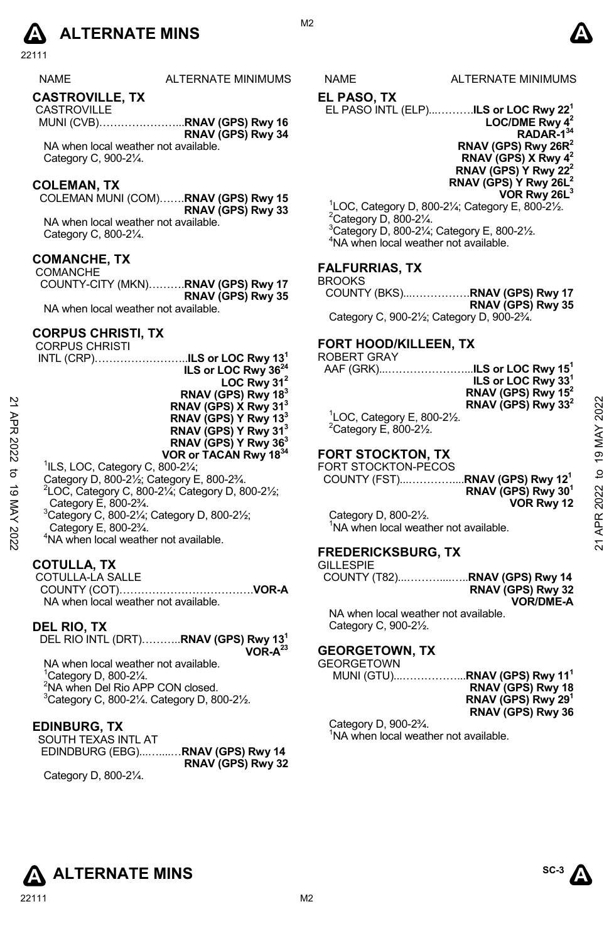# **A** ALTERNATE MINS  $\qquad \qquad \blacksquare$

22111

#### **CASTROVILLE, TX**

 CASTROVILLE MUNI (CVB)…………………...**RNAV (GPS) Rwy 16 RNAV (GPS) Rwy 34** 

NA when local weather not available. Category C, 900-2¼.

#### **COLEMAN, TX**

COLEMAN MUNI (COM)…….**RNAV (GPS) Rwy 15 RNAV (GPS) Rwy 33** NA when local weather not available.

Category C, 800-2¼.

#### **COMANCHE, TX**

 COMANCHE COUNTY-CITY (MKN)……….**RNAV (GPS) Rwy 17 RNAV (GPS) Rwy 35**  NA when local weather not available.

#### **CORPUS CHRISTI, TX**

|          | <b>CORPUS CHRISTI</b>                                                             | <b>FORT HOOD/KILLEEN, TX</b>                     |                |
|----------|-----------------------------------------------------------------------------------|--------------------------------------------------|----------------|
|          | ILS or LOC Rwy $131$<br>$INTL (CRP)$                                              | <b>ROBERT GRAY</b>                               |                |
|          | ILS or LOC Rwy 36 <sup>24</sup>                                                   | ILS or LOC Rwy 15 $^{\rm h}$<br>AAF (GRK)        |                |
|          | LOC Rwy $31^2$                                                                    | ILS or LOC Rwy 33 <sup>1</sup>                   |                |
|          | RNAV (GPS) Rwy 183                                                                | RNAV (GPS) Rwy 15 <sup>2</sup>                   |                |
|          | RNAV (GPS) X Rwy 31 <sup>3</sup>                                                  | RNAV (GPS) Rwy 33 <sup>2</sup>                   |                |
|          | RNAV (GPS) Y Rwy 13 <sup>3</sup>                                                  | $\degree$ LOC, Category E, 800-2 $\frac{1}{2}$ . | 2022           |
|          | RNAV (GPS) Y Rwy 31 <sup>3</sup>                                                  | $2$ Category E, 800-2 $\frac{1}{2}$ .            |                |
|          | RNAV (GPS) Y Rwy 36 <sup>3</sup>                                                  |                                                  | MAY            |
| 2022     | VOR or TACAN Rwy 1834                                                             | <b>FORT STOCKTON, TX</b>                         | $\overline{9}$ |
|          | $^1$ ILS, LOC, Category C, 800-2 $\frac{1}{4}$ ;                                  | FORT STOCKTON-PECOS                              |                |
| ಕ        | Category D, 800-21/ <sub>2</sub> ; Category E, 800-23/4.                          |                                                  | đ              |
| ಠ        | ${}^{2}$ LOC, Category C, 800-2 $\frac{1}{4}$ ; Category D, 800-2 $\frac{1}{2}$ ; | RNAV (GPS) Rwy 30 <sup>1</sup>                   |                |
|          | Category E, 800-2 <sup>3</sup> / <sub>4</sub> .                                   | VOR Rwy 12                                       |                |
|          | <sup>3</sup> Category C, 800-21/4; Category D, 800-21/2;                          | Category D, 800-21/2.                            | APR 2022       |
|          |                                                                                   | NA when local weather not available.             |                |
| MAY 2022 | Category E, 800-23/4.                                                             |                                                  |                |
|          | <sup>4</sup> NA when local weather not available.                                 | ---------------                                  |                |
|          |                                                                                   |                                                  |                |

#### **COTULLA, TX**

 COTULLA-LA SALLE COUNTY (COT)……………………………….**VOR-A**  NA when local weather not available.

#### **DEL RIO, TX**

DEL RIO INTL (DRT)………..**RNAV (GPS) Rwy 131** 

**VOR-A23**

NA when local weather not available. Category D, 800-2¼. NA when Del Rio APP CON closed. Category C, 800-2 $\frac{1}{4}$ . Category D, 800-2 $\frac{1}{2}$ .

#### **EDINBURG, TX**

SOUTH TEXAS INTL AT EDINDBURG (EBG)...…....…**RNAV (GPS) Rwy 14 RNAV (GPS) Rwy 32** 

Category D, 800-2¼.

IMUMS NAME ALTERNATE MINIMUMS

#### **EL PASO, TX**

EL PASO INTL (ELP)...……….**ILS or LOC Rwy 221 LOC/DME Rwy 42 RADAR-134** 

**RNAV (GPS) Rwy 26R2 RNAV (GPS) X Rwy 42 RNAV (GPS) Y Rwy 222 RNAV (GPS) Y Rwy 26L2** 

**VOR Rwy 26L3**

 $^{1}$ LOC, Category D, 800-21⁄<sub>4</sub>; Category E, 800-21⁄<sub>2</sub>. Category D, 800-2¼. 3 Category D, 800-2¼; Category E, 800-2½. 4 NA when local weather not available.

#### **FALFURRIAS, TX**

```
BROOKS
```
COUNTY (BKS)...…………….**RNAV (GPS) Rwy 17 RNAV (GPS) Rwy 35** 

Category C, 900-2½; Category D, 900-2¾.

#### **FORT HOOD/KILLEEN, TX**

#### ROBERT GRAY

| AAF (GRK)………………… <b>.ILS or LOC Rwv 15<sup>1</sup></b>                           | ILS or LOC Rwy 33 <sup>1</sup><br>RNAV (GPS) Rwy $15^2$<br>RNAV (GPS) Rwy 33 <sup>2</sup> |
|----------------------------------------------------------------------------------|-------------------------------------------------------------------------------------------|
| $1$ LOC, Category E, 800-2 $\frac{1}{2}$ .<br><sup>2</sup> Category E, 800-21/2. |                                                                                           |

# **FORT STOCKTON, TX**

#### **FREDERICKSBURG, TX**  GILLESPIE

| UILLEOFIE |                   |
|-----------|-------------------|
|           |                   |
|           | RNAV (GPS) Rwy 32 |
|           | <b>VOR/DME-A</b>  |

NA when local weather not available. Category C, 900-2½.

#### **GEORGETOWN, TX**

**GEORGETOWN** 

MUNI (GTU)...……………...**RNAV (GPS) Rwy 111 RNAV (GPS) Rwy 18 RNAV (GPS) Rwy 291 RNAV (GPS) Rwy 36** 

Category D, 900-2¾. <sup>1</sup>NA when local weather not available.

**ALTERNATE MINS**  ${}^{\text{SC-3}} \Lambda$ 



#### M<sub>2</sub>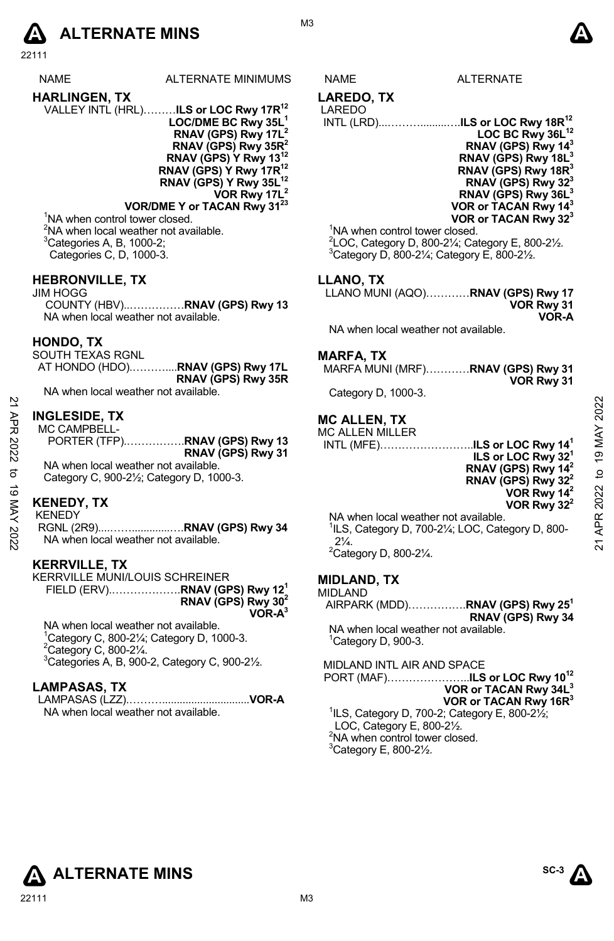# **A** ALTERNATE MINS  $\bullet$

22111

ALTERNATE MINIMUMS NAME ALTERNATE

- **HARLINGEN, TX**  VALLEY INTL (HRL)………**ILS or LOC Rwy 17R12 LOC/DME BC Rwy 35L1 RNAV (GPS) Rwy 17L2 RNAV (GPS) Rwy 35R2 RNAV (GPS) Y Rwy 13 RNAV (GPS) Y Rwy 17R12** 
	- **RNAV (GPS) Y Rwy 35L12 VOR Rwy 17L2**

**VOR/DME Y or TACAN Rwy 3123** <sup>1</sup>NA when control tower closed. <sup>2</sup>NA when local weather not available.  ${}^{3}$ Categories A, B, 1000-2;

Categories C, D, 1000-3.

#### **HEBRONVILLE, TX**

JIM HOGG COUNTY (HBV)..……………**RNAV (GPS) Rwy 13**  NA when local weather not available.

#### **HONDO, TX**

SOUTH TEXAS RGNL AT HONDO (HDO).………....**RNAV (GPS) Rwy 17L RNAV (GPS) Rwy 35R** 

NA when local weather not available.

### **INGLESIDE, TX**

### **KENEDY, TX**

#### **KERRVILLE, TX**

KERRVILLE MUNI/LOUIS SCHREINER FIELD (ERV).……………….**RNAV (GPS) Rwy 121 RNAV (GPS) Rwy 302 VOR-A3**

NA when local weather not available. Category C, 800-2¼; Category D, 1000-3. Category C, 800-2 $\frac{1}{4}$ . Categories A, B, 900-2, Category C, 900-2 $\frac{1}{2}$ .

#### **LAMPASAS, TX**

LAMPASAS (LZZ).………..............................**VOR-A**  NA when local weather not available.

M3

#### **LAREDO, TX**

LAREDO

INTL (LRD)...……….........….**ILS or LOC Rwy 18R12**



<sup>1</sup>NA when control tower closed.  $^{2}$ LOC, Category D, 800-2¼; Category E, 800-2½.  $3$ Category D, 800-21⁄<sub>4</sub>; Category E, 800-21⁄<sub>2</sub>.

#### **LLANO, TX**

LLANO MUNI (AQO)…………**RNAV (GPS) Rwy 17 VOR Rwy 31 VOR-A** 

NA when local weather not available.

#### **MARFA, TX**

MARFA MUNI (MRF)…………**RNAV (GPS) Rwy 31 VOR Rwy 31** 

Category D, 1000-3.

### **MC ALLEN, TX**

| APR  | <b>INGLESIDE, TX</b><br>MC CAMPBELL-                                | <b>MC ALLEN. TX</b><br><b>MC ALLEN MILLER</b>                              | 2022            |
|------|---------------------------------------------------------------------|----------------------------------------------------------------------------|-----------------|
|      | PORTER (TFP)RNAV (GPS) Rwy 13                                       | INTL (MFE)ILS or LOC Rwy 14 <sup>1</sup>                                   | MAY             |
| 2022 | RNAV (GPS) Rwy 31                                                   | ILS or LOC Rwy 32 <sup>1</sup>                                             | $\overline{19}$ |
| ಕ    | NA when local weather not available.                                | RNAV (GPS) Rwy 14 <sup>2</sup>                                             | $\overline{a}$  |
| ಕ    | Category C, 900-2 <sup>1</sup> / <sub>2</sub> ; Category D, 1000-3. | RNAV (GPS) Rwy 32 <sup>2</sup>                                             |                 |
|      | <b>KENEDY, TX</b>                                                   | VOR Rwy 14 <sup>2</sup>                                                    | 2022            |
| XAN  |                                                                     | VOR Rwy $32^2$                                                             |                 |
|      | <b>KENEDY</b>                                                       | NA when local weather not available.                                       | ≃               |
| 2022 |                                                                     | <sup>1</sup> ILS, Category D, 700-21/ <sub>4</sub> ; LOC, Category D, 800- |                 |
|      | NA when local weather not available.                                | $2\frac{1}{4}$                                                             | ম               |
|      |                                                                     | $2 - 1$                                                                    |                 |

NA when local weather not available. 1 ILS, Category D, 700-2¼; LOC, Category D, 800-  $2\frac{1}{4}$ .  $2$ Category D, 800-2 $\frac{1}{4}$ .

#### **MIDLAND, TX**

#### MIDLAND

AIRPARK (MDD)…………….**RNAV (GPS) Rwy 251 RNAV (GPS) Rwy 34** NA when local weather not available.

 $1$ Category D, 900-3.

MIDLAND INTL AIR AND SPACE

PORT (MAF)…………………..**ILS or LOC Rwy 1012 VOR or TACAN Rwy 34L3**

**VOR or TACAN Rwy 16R3**  $1$ ILS, Category D, 700-2; Category E, 800-2 $\frac{1}{2}$ ; LOC, Category E, 800-2½. <sup>2</sup>NA when control tower closed.

 $3$ Category E, 800-2 $\frac{1}{2}$ .



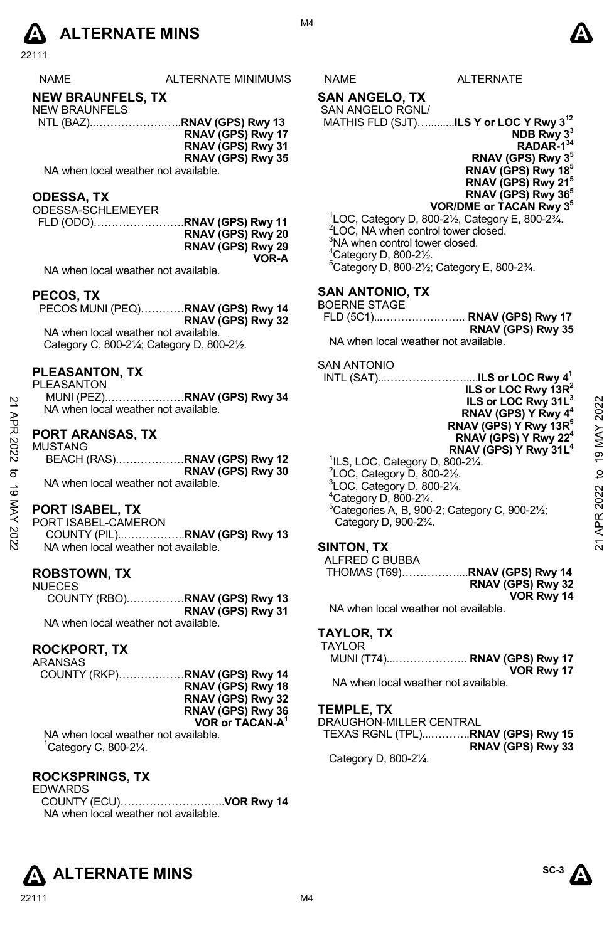# **A** ALTERNATE MINS  $\bullet$

22111

| <b>NAME</b> | ALTERNATE MINIMUMS | <b>NAME</b> | FRNATF |
|-------------|--------------------|-------------|--------|
|             |                    |             |        |
|             |                    |             |        |

## **NEW BRAUNFELS, TX**

NEW BRAUNFELS NTL (BAZ)..……………….…..**RNAV (GPS) Rwy 13 RNAV (GPS) Rwy 17** 

**RNAV (GPS) Rwy 31** 

**RNAV (GPS) Rwy 35** 

NA when local weather not available.

#### **ODESSA, TX**

ODESSA-SCHLEMEYER FLD (ODO)…………………….**RNAV (GPS) Rwy 11 RNAV (GPS) Rwy 20 RNAV (GPS) Rwy 29 VOR-A** 

NA when local weather not available.

#### **PECOS, TX**

PECOS MUNI (PEQ)…………**RNAV (GPS) Rwy 14 RNAV (GPS) Rwy 32**  NA when local weather not available. Category C, 800-2¼; Category D, 800-2½.

#### **PLEASANTON, TX**

#### **PORT ARANSAS, TX**

| MUSTANG                              |                   |
|--------------------------------------|-------------------|
| BEACH (RAS)RNAV (GPS) Rwy 12         |                   |
|                                      | RNAV (GPS) Rwy 30 |
| NA when local weather not available. |                   |

## **PORT ISABEL, TX**

NA when local weather not available.

#### **ROBSTOWN, TX**  NUECES

COUNTY (RBO).……………**RNAV (GPS) Rwy 13 RNAV (GPS) Rwy 31**  NA when local weather not available.

#### **ROCKPORT, TX**

| ARANSAS                              |                             |
|--------------------------------------|-----------------------------|
|                                      |                             |
|                                      | RNAV (GPS) Rwy 18           |
|                                      | RNAV (GPS) Rwy 32           |
|                                      | RNAV (GPS) Rwy 36           |
|                                      | VOR or TACAN-A <sup>1</sup> |
| NA when local weather not available. |                             |

1 Category C, 800-2¼.

#### **ROCKSPRINGS, TX**

EDWARDS COUNTY (ECU)………………………..**VOR Rwy 14**  NA when local weather not available.

#### **SAN ANGELO, TX**  SAN ANGELO RGNL/

MATHIS FLD (SJT)….........**ILS Y or LOC Y Rwy 312** 

**NDB Rwy 33 RADAR-134 RNAV (GPS) Rwy 35 RNAV (GPS) Rwy 185 RNAV (GPS) Rwy 215 RNAV (GPS) Rwy 365**

### **VOR/DME or TACAN Rwy 35**

 $1$ LOC, Category D, 800-2 $\frac{1}{2}$ , Category E, 800-2 $\frac{3}{4}$ . <sup>2</sup>LOC, NA when control tower closed. <sup>3</sup>NA when control tower closed. 4 Category D, 800-2½. 5 Category D, 800-2½; Category E, 800-2¾.

#### **SAN ANTONIO, TX**

| BOERNE STAGE |                   |
|--------------|-------------------|
|              |                   |
|              | RNAV (GPS) Rwy 35 |

NA when local weather not available.

#### SAN ANTONIO

| 21 APR      | PLEASANIUN.IX<br><b>PLEASANTON</b><br>MUNI (PEZ)RNAV (GPS) Rwy 34<br>NA when local weather not available. | INTL (SAT)ILS or LOC Rwy 4 <sup>1</sup><br>ILS or LOC Rwy $13R^2$<br>ILS or LOC Rwy 31L <sup>3</sup><br>RNAV (GPS) Y Rwy 4 <sup>4</sup>                                                                   | 2022      |
|-------------|-----------------------------------------------------------------------------------------------------------|-----------------------------------------------------------------------------------------------------------------------------------------------------------------------------------------------------------|-----------|
| 2022        | <b>PORT ARANSAS, TX</b><br><b>MUSTANG</b>                                                                 | RNAV (GPS) Y Rwy 13R <sup>5</sup><br>RNAV (GPS) Y Rwy 22 <sup>4</sup><br>RNAV (GPS) Y Rwy 31L <sup>4</sup><br>${}^{1}$ ILS, LOC, Category D, 800-2 $\frac{1}{4}$ .                                        | 19 MAY    |
| ನ<br>ಕ<br>⋚ | RNAV (GPS) Rwy 30<br>NA when local weather not available.<br>PORT ISABEL, TX                              | $2$ LOC, Category D, 800-2 $\frac{1}{2}$ .<br>$3$ LOC, Category D, 800-2 $\frac{1}{4}$ .<br>$4$ Category D, 800-2 $\frac{1}{4}$ .<br>$^{\circ}$ Categories A, B, 900-2; Category C, 900-2 $\frac{1}{2}$ ; | ₫<br>2022 |
| X 2022      | PORT ISABEL-CAMERON<br>NA when local weather not available.                                               | Category D, 900-2 <sup>3</sup> / <sub>4</sub> .<br>SINTON TX                                                                                                                                              | œ<br>ম    |

### **SINTON, TX**

| ALFRED C BUBBA |                   |
|----------------|-------------------|
|                |                   |
|                | RNAV (GPS) Rwy 32 |
|                | VOR Rwy 14        |

NA when local weather not available.

#### **TAYLOR, TX**  TAYLOR

| AILUR                                |            |
|--------------------------------------|------------|
| MUNI (T74) RNAV (GPS) Rwy 17         |            |
|                                      | VOR Rwy 17 |
| NA when local weather not available. |            |

**TEMPLE, TX** 

DRAUGHON-MILLER CENTRAL TEXAS RGNL (TPL)...………..**RNAV (GPS) Rwy 15 RNAV (GPS) Rwy 33**  Category D, 800-2¼.



**SC-3**